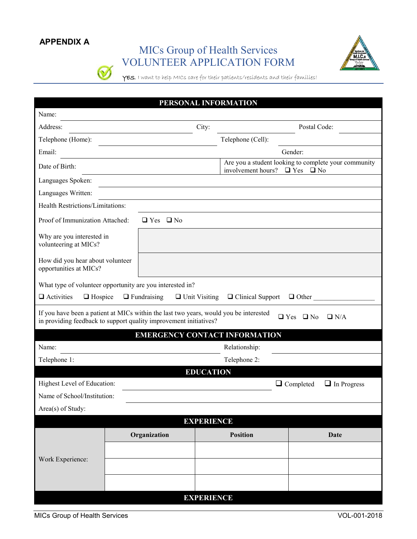### **APPENDIX A**

 $\bigcirc$ 

# MICs Group of Health Services VOLUNTEER APPLICATION FORM



YES, I want to help MICs care for their patients/residents and their families!

| PERSONAL INFORMATION                                                                                                                                                                          |                      |                      |                                                                                                    |                                        |  |  |  |  |
|-----------------------------------------------------------------------------------------------------------------------------------------------------------------------------------------------|----------------------|----------------------|----------------------------------------------------------------------------------------------------|----------------------------------------|--|--|--|--|
| Name:                                                                                                                                                                                         |                      |                      |                                                                                                    |                                        |  |  |  |  |
| Address:                                                                                                                                                                                      |                      | City:                |                                                                                                    | Postal Code:                           |  |  |  |  |
| Telephone (Home):                                                                                                                                                                             |                      |                      | Telephone (Cell):                                                                                  |                                        |  |  |  |  |
| Email:                                                                                                                                                                                        |                      |                      |                                                                                                    | Gender:                                |  |  |  |  |
| Date of Birth:                                                                                                                                                                                |                      |                      | Are you a student looking to complete your community<br>involvement hours?<br>$\Box$ Yes $\Box$ No |                                        |  |  |  |  |
| Languages Spoken:                                                                                                                                                                             |                      |                      |                                                                                                    |                                        |  |  |  |  |
| Languages Written:                                                                                                                                                                            |                      |                      |                                                                                                    |                                        |  |  |  |  |
| Health Restrictions/Limitations:                                                                                                                                                              |                      |                      |                                                                                                    |                                        |  |  |  |  |
| Proof of Immunization Attached:                                                                                                                                                               | $\Box$ Yes $\Box$ No |                      |                                                                                                    |                                        |  |  |  |  |
| Why are you interested in<br>volunteering at MICs?                                                                                                                                            |                      |                      |                                                                                                    |                                        |  |  |  |  |
| How did you hear about volunteer<br>opportunities at MICs?                                                                                                                                    |                      |                      |                                                                                                    |                                        |  |  |  |  |
| What type of volunteer opportunity are you interested in?                                                                                                                                     |                      |                      |                                                                                                    |                                        |  |  |  |  |
| $\Box$ Activities<br>$\Box$ Hospice                                                                                                                                                           | $\Box$ Fundraising   | $\Box$ Unit Visiting | $\Box$ Clinical Support                                                                            | $\Box$ Other                           |  |  |  |  |
| If you have been a patient at MICs within the last two years, would you be interested<br>$\Box$ Yes $\Box$ No $\Box$ N/A<br>in providing feedback to support quality improvement initiatives? |                      |                      |                                                                                                    |                                        |  |  |  |  |
|                                                                                                                                                                                               |                      |                      | <b>EMERGENCY CONTACT INFORMATION</b>                                                               |                                        |  |  |  |  |
| Name:                                                                                                                                                                                         |                      |                      | Relationship:                                                                                      |                                        |  |  |  |  |
| Telephone 1:                                                                                                                                                                                  |                      |                      | Telephone 2:                                                                                       |                                        |  |  |  |  |
|                                                                                                                                                                                               |                      | <b>EDUCATION</b>     |                                                                                                    |                                        |  |  |  |  |
| Highest Level of Education:                                                                                                                                                                   |                      |                      |                                                                                                    | $\Box$ Completed<br>$\Box$ In Progress |  |  |  |  |
| Name of School/Institution:                                                                                                                                                                   |                      |                      |                                                                                                    |                                        |  |  |  |  |
| Area(s) of Study:                                                                                                                                                                             |                      |                      |                                                                                                    |                                        |  |  |  |  |
| <b>EXPERIENCE</b>                                                                                                                                                                             |                      |                      |                                                                                                    |                                        |  |  |  |  |
|                                                                                                                                                                                               | Organization         |                      | <b>Position</b>                                                                                    | <b>Date</b>                            |  |  |  |  |
|                                                                                                                                                                                               |                      |                      |                                                                                                    |                                        |  |  |  |  |
| Work Experience:                                                                                                                                                                              |                      |                      |                                                                                                    |                                        |  |  |  |  |
|                                                                                                                                                                                               |                      |                      |                                                                                                    |                                        |  |  |  |  |
|                                                                                                                                                                                               |                      | <b>EXPERIENCE</b>    |                                                                                                    |                                        |  |  |  |  |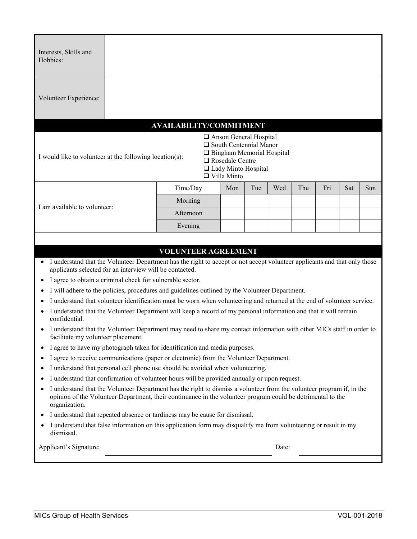| Interests, Skills and<br>Hobbies:                                                                                                                                                                                          |  |           |  |     |     |     |     |     |     |     |
|----------------------------------------------------------------------------------------------------------------------------------------------------------------------------------------------------------------------------|--|-----------|--|-----|-----|-----|-----|-----|-----|-----|
| Volunteer Experience:                                                                                                                                                                                                      |  |           |  |     |     |     |     |     |     |     |
| <b>AVAILABILITY/COMMITMENT</b>                                                                                                                                                                                             |  |           |  |     |     |     |     |     |     |     |
| Anson General Hospital<br>$\Box$ South Centennial Manor<br>□ Bingham Memorial Hospital<br>I would like to volunteer at the following location(s):<br>$\Box$ Rosedale Centre<br>□ Lady Minto Hospital<br>$\Box$ Villa Minto |  |           |  |     |     |     |     |     |     |     |
| I am available to volunteer:                                                                                                                                                                                               |  | Time/Day  |  | Mon | Tue | Wed | Thu | Fri | Sat | Sun |
|                                                                                                                                                                                                                            |  | Morning   |  |     |     |     |     |     |     |     |
|                                                                                                                                                                                                                            |  | Afternoon |  |     |     |     |     |     |     |     |
|                                                                                                                                                                                                                            |  | Evening   |  |     |     |     |     |     |     |     |

#### **VOLUNTEER AGREEMENT**

- I understand that the Volunteer Department has the right to accept or not accept volunteer applicants and that only those applicants selected for an interview will be contacted.
- I agree to obtain a criminal check for vulnerable sector.
- I will adhere to the policies, procedures and guidelines outlined by the Volunteer Department.
- I understand that volunteer identification must be worn when volunteering and returned at the end of volunteer service.
- I understand that the Volunteer Department will keep a record of my personal information and that it will remain confidential.
- I understand that the Volunteer Department may need to share my contact information with other MICs staff in order to facilitate my volunteer placement.
- I agree to have my photograph taken for identification and media purposes.
- I agree to receive communications (paper or electronic) from the Volunteer Department.
- I understand that personal cell phone use should be avoided when volunteering.
- I understand that confirmation of volunteer hours will be provided annually or upon request.
- I understand that the Volunteer Department has the right to dismiss a volunteer from the volunteer program if, in the opinion of the Volunteer Department, their continuance in the volunteer program could be detrimental to the organization.
- I understand that repeated absence or tardiness may be cause for dismissal.
- I understand that false information on this application form may disqualify me from volunteering or result in my dismissal.

| Applicant's Signature: | Date: |
|------------------------|-------|
|                        |       |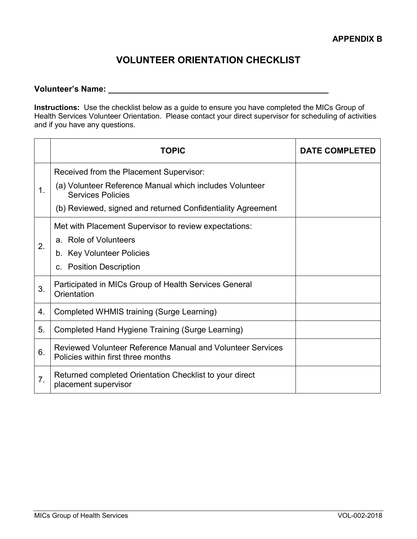# **VOLUNTEER ORIENTATION CHECKLIST**

#### **Volunteer's Name:**

**Instructions:** Use the checklist below as a guide to ensure you have completed the MICs Group of Health Services Volunteer Orientation. Please contact your direct supervisor for scheduling of activities and if you have any questions.

|    | <b>TOPIC</b>                                                                                     | <b>DATE COMPLETED</b> |
|----|--------------------------------------------------------------------------------------------------|-----------------------|
| 1. | Received from the Placement Supervisor:                                                          |                       |
|    | (a) Volunteer Reference Manual which includes Volunteer<br><b>Services Policies</b>              |                       |
|    | (b) Reviewed, signed and returned Confidentiality Agreement                                      |                       |
|    | Met with Placement Supervisor to review expectations:                                            |                       |
| 2. | a. Role of Volunteers                                                                            |                       |
|    | b. Key Volunteer Policies                                                                        |                       |
|    | c. Position Description                                                                          |                       |
| 3. | Participated in MICs Group of Health Services General<br>Orientation                             |                       |
| 4. | Completed WHMIS training (Surge Learning)                                                        |                       |
| 5. | Completed Hand Hygiene Training (Surge Learning)                                                 |                       |
| 6. | Reviewed Volunteer Reference Manual and Volunteer Services<br>Policies within first three months |                       |
| 7. | Returned completed Orientation Checklist to your direct<br>placement supervisor                  |                       |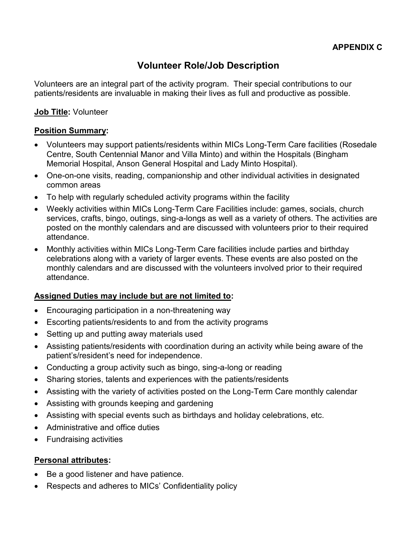# **Volunteer Role/Job Description**

Volunteers are an integral part of the activity program. Their special contributions to our patients/residents are invaluable in making their lives as full and productive as possible.

### **Job Title:** Volunteer

### **Position Summary:**

- Volunteers may support patients/residents within MICs Long-Term Care facilities (Rosedale Centre, South Centennial Manor and Villa Minto) and within the Hospitals (Bingham Memorial Hospital, Anson General Hospital and Lady Minto Hospital).
- One-on-one visits, reading, companionship and other individual activities in designated common areas
- To help with regularly scheduled activity programs within the facility
- Weekly activities within MICs Long-Term Care Facilities include: games, socials, church services, crafts, bingo, outings, sing-a-longs as well as a variety of others. The activities are posted on the monthly calendars and are discussed with volunteers prior to their required attendance.
- Monthly activities within MICs Long-Term Care facilities include parties and birthday celebrations along with a variety of larger events. These events are also posted on the monthly calendars and are discussed with the volunteers involved prior to their required attendance.

### **Assigned Duties may include but are not limited to:**

- Encouraging participation in a non-threatening way
- $\bullet$  Escorting patients/residents to and from the activity programs
- Setting up and putting away materials used
- Assisting patients/residents with coordination during an activity while being aware of the patient's/resident's need for independence.
- Conducting a group activity such as bingo, sing-a-long or reading
- Sharing stories, talents and experiences with the patients/residents
- Assisting with the variety of activities posted on the Long-Term Care monthly calendar
- Assisting with grounds keeping and gardening
- Assisting with special events such as birthdays and holiday celebrations, etc.
- Administrative and office duties
- Fundraising activities

### **Personal attributes:**

- Be a good listener and have patience.
- Respects and adheres to MICs' Confidentiality policy